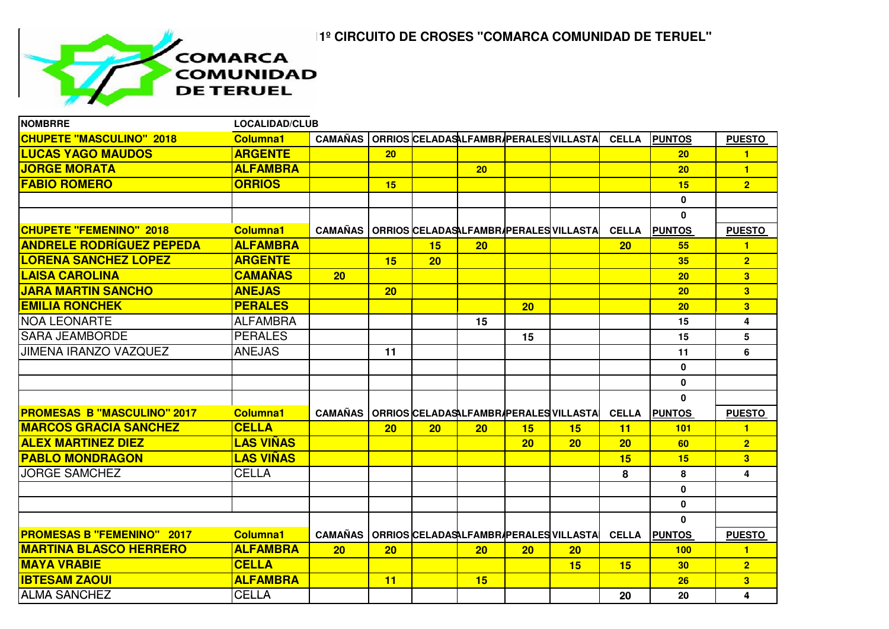## **11º CIRCUITO DE CROSES "COMARCA COMUNIDAD DE TERUEL"**



| <b>NOMBRRE</b>                     | <b>LOCALIDAD/CLUB</b> |                |    |                 |                 |    |                                        |              |                 |                |
|------------------------------------|-----------------------|----------------|----|-----------------|-----------------|----|----------------------------------------|--------------|-----------------|----------------|
| <b>CHUPETE "MASCULINO" 2018</b>    | <b>Columna1</b>       | <b>CAMAÑAS</b> |    |                 |                 |    | ORRIOS CELADASALFAMBR/PERALES VILLASTA | <b>CELLA</b> | <b>PUNTOS</b>   | <b>PUESTO</b>  |
| <b>LUCAS YAGO MAUDOS</b>           | <b>ARGENTE</b>        |                | 20 |                 |                 |    |                                        |              | 20 <sub>2</sub> | $\blacksquare$ |
| <b>JORGE MORATA</b>                | <b>ALFAMBRA</b>       |                |    |                 | 20 <sub>2</sub> |    |                                        |              | 20              | $\blacksquare$ |
| <b>FABIO ROMERO</b>                | <b>ORRIOS</b>         |                | 15 |                 |                 |    |                                        |              | 15              | 2 <sup>1</sup> |
|                                    |                       |                |    |                 |                 |    |                                        |              | $\mathbf{0}$    |                |
|                                    |                       |                |    |                 |                 |    |                                        |              | $\mathbf{0}$    |                |
| <b>CHUPETE "FEMENINO" 2018</b>     | <b>Columna1</b>       | <b>CAMAÑAS</b> |    |                 |                 |    | ORRIOS CELADASALFAMBR/PERALES VILLASTA | <b>CELLA</b> | <b>PUNTOS</b>   | <b>PUESTO</b>  |
| <b>ANDRELE RODRÍGUEZ PEPEDA</b>    | <b>ALFAMBRA</b>       |                |    | 15              | 20              |    |                                        | 20           | 55              | $\blacksquare$ |
| <b>LORENA SANCHEZ LOPEZ</b>        | <b>ARGENTE</b>        |                | 15 | 20              |                 |    |                                        |              | 35              | 2 <sub>1</sub> |
| <b>LAISA CAROLINA</b>              | <b>CAMAÑAS</b>        | 20             |    |                 |                 |    |                                        |              | 20              | 3 <sup>1</sup> |
| <b>JARA MARTIN SANCHO</b>          | <b>ANEJAS</b>         |                | 20 |                 |                 |    |                                        |              | 20              | 3 <sup>1</sup> |
| <b>EMILIA RONCHEK</b>              | <b>PERALES</b>        |                |    |                 |                 | 20 |                                        |              | 20              | 3 <sup>1</sup> |
| <b>NOA LEONARTE</b>                | <b>ALFAMBRA</b>       |                |    |                 | 15              |    |                                        |              | 15              | 4              |
| <b>SARA JEAMBORDE</b>              | <b>PERALES</b>        |                |    |                 |                 | 15 |                                        |              | 15              | 5              |
| <b>JIMENA IRANZO VAZQUEZ</b>       | <b>ANEJAS</b>         |                | 11 |                 |                 |    |                                        |              | 11              | 6              |
|                                    |                       |                |    |                 |                 |    |                                        |              | $\mathbf 0$     |                |
|                                    |                       |                |    |                 |                 |    |                                        |              | $\mathbf 0$     |                |
|                                    |                       |                |    |                 |                 |    |                                        |              | $\mathbf{0}$    |                |
| <b>PROMESAS B "MASCULINO" 2017</b> | <b>Columna1</b>       | <b>CAMAÑAS</b> |    |                 |                 |    | ORRIOS CELADASALFAMBR/PERALES VILLASTA | <b>CELLA</b> | <b>PUNTOS</b>   | <b>PUESTO</b>  |
| <b>MARCOS GRACIA SANCHEZ</b>       | <b>CELLA</b>          |                | 20 | 20 <sub>2</sub> | 20              | 15 | 15                                     | 11           | 101             | $\blacksquare$ |
| <b>ALEX MARTINEZ DIEZ</b>          | <b>LAS VIÑAS</b>      |                |    |                 |                 | 20 | 20                                     | 20           | 60              | $\overline{2}$ |
| <b>PABLO MONDRAGON</b>             | <b>LAS VIÑAS</b>      |                |    |                 |                 |    |                                        | 15           | 15              | 3 <sup>1</sup> |
| <b>JORGE SAMCHEZ</b>               | <b>CELLA</b>          |                |    |                 |                 |    |                                        | 8            | 8               | 4              |
|                                    |                       |                |    |                 |                 |    |                                        |              | $\bf{0}$        |                |
|                                    |                       |                |    |                 |                 |    |                                        |              | $\mathbf 0$     |                |
|                                    |                       |                |    |                 |                 |    |                                        |              | $\mathbf{0}$    |                |
| <b>PROMESAS B "FEMENINO" 2017</b>  | <b>Columna1</b>       | <b>CAMAÑAS</b> |    |                 |                 |    | ORRIOS CELADASALFAMBRAPERALES VILLASTA | <b>CELLA</b> | <b>PUNTOS</b>   | <b>PUESTO</b>  |
| <b>MARTINA BLASCO HERRERO</b>      | <b>ALFAMBRA</b>       | 20             | 20 |                 | 20 <sub>2</sub> | 20 | 20 <sub>2</sub>                        |              | 100             | $\mathbf{1}$   |
| <b>MAYA VRABIE</b>                 | <b>CELLA</b>          |                |    |                 |                 |    | 15                                     | 15           | 30              | 2 <sub>1</sub> |
| <b>IBTESAM ZAOUI</b>               | <b>ALFAMBRA</b>       |                | 11 |                 | 15              |    |                                        |              | 26              | 3 <sup>1</sup> |
| <b>ALMA SANCHEZ</b>                | <b>CELLA</b>          |                |    |                 |                 |    |                                        | 20           | 20              | 4              |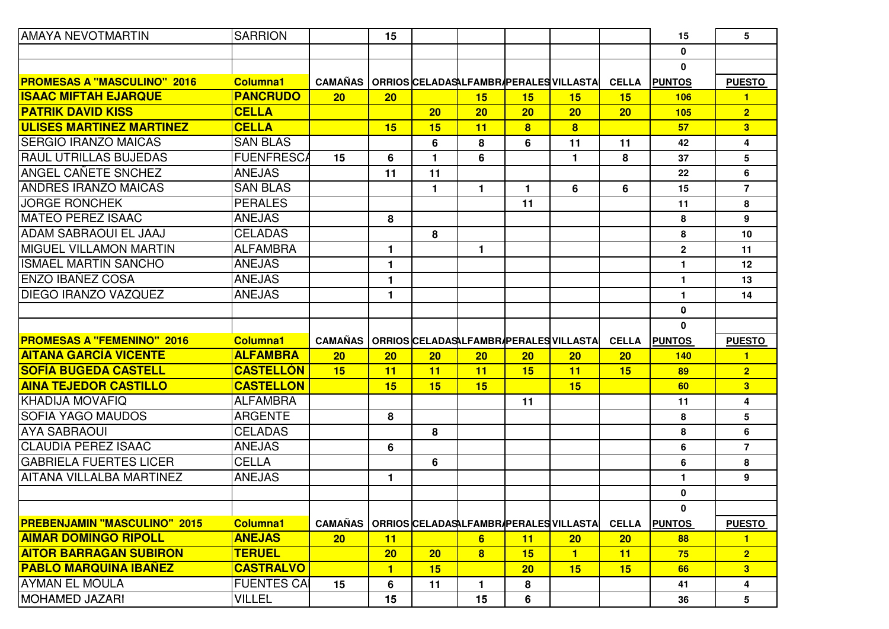| <b>AMAYA NEVOTMARTIN</b>                       | <b>SARRION</b>     |                | 15             |                 |                 |                |                                        |              | 15            | 5              |
|------------------------------------------------|--------------------|----------------|----------------|-----------------|-----------------|----------------|----------------------------------------|--------------|---------------|----------------|
|                                                |                    |                |                |                 |                 |                |                                        |              | $\mathbf 0$   |                |
|                                                |                    |                |                |                 |                 |                |                                        |              | $\mathbf{0}$  |                |
| <b>PROMESAS A "MASCULINO" 2016</b>             | <b>Columna1</b>    | <b>CAMAÑAS</b> |                |                 |                 |                | ORRIOS CELADASALFAMBRAPERALES VILLASTA | <b>CELLA</b> | <b>PUNTOS</b> | <b>PUESTO</b>  |
| <b>ISAAC MIFTAH EJARQUE</b>                    | <b>PANCRUDO</b>    | 20             | 20             |                 | 15              | 15             | 15                                     | 15           | 106           | $\mathbf{1}$   |
| <b>PATRIK DAVID KISS</b>                       | <b>CELLA</b>       |                |                | 20              | 20              | 20             | 20                                     | 20           | 105           | 2 <sup>1</sup> |
| <b>ULISES MARTINEZ MARTINEZ</b>                | <b>CELLA</b>       |                | 15             | 15              | 11              | 8 <sup>2</sup> | $\overline{\mathbf{8}}$                |              | 57            | 3 <sup>1</sup> |
| <b>ISERGIO IRANZO MAICAS</b>                   | <b>SAN BLAS</b>    |                |                | 6               | 8               | 6              | 11                                     | 11           | 42            | 4              |
| <b>RAUL UTRILLAS BUJEDAS</b>                   | <b>FUENFRESCA</b>  | 15             | 6              | 1.              | 6               |                | 1.                                     | 8            | 37            | 5              |
| ANGEL CAÑETE SNCHEZ                            | <b>ANEJAS</b>      |                | 11             | 11              |                 |                |                                        |              | 22            | 6              |
| <b>ANDRES IRANZO MAICAS</b>                    | <b>SAN BLAS</b>    |                |                | 1.              | $\blacksquare$  | 1.             | 6                                      | 6            | 15            | $\overline{7}$ |
| <b>JORGE RONCHEK</b>                           | <b>PERALES</b>     |                |                |                 |                 | 11             |                                        |              | 11            | 8              |
| IMATEO PEREZ ISAAC                             | <b>ANEJAS</b>      |                | 8              |                 |                 |                |                                        |              | 8             | 9              |
| <b>ADAM SABRAOUI EL JAAJ</b>                   | <b>CELADAS</b>     |                |                | 8               |                 |                |                                        |              | 8             | 10             |
| IMIGUEL VILLAMON MARTIN                        | <b>ALFAMBRA</b>    |                | $\mathbf{1}$   |                 | 1.              |                |                                        |              | $\mathbf{2}$  | 11             |
| <b>ISMAEL MARTIN SANCHO</b>                    | <b>ANEJAS</b>      |                | $\mathbf{1}$   |                 |                 |                |                                        |              | $\mathbf{1}$  | 12             |
| ENZO IBAÑEZ COSA                               | <b>ANEJAS</b>      |                | 1              |                 |                 |                |                                        |              | $\mathbf{1}$  | 13             |
| IDIEGO IRANZO VAZQUEZ                          | <b>ANEJAS</b>      |                | 1              |                 |                 |                |                                        |              | $\mathbf{1}$  | 14             |
|                                                |                    |                |                |                 |                 |                |                                        |              | $\bf{0}$      |                |
|                                                |                    |                |                |                 |                 |                |                                        |              |               |                |
|                                                |                    |                |                |                 |                 |                |                                        |              | $\mathbf{0}$  |                |
| <b>PROMESAS A "FEMENINO" 2016</b>              | <b>Columna1</b>    | <b>CAMAÑAS</b> |                |                 |                 |                | ORRIOS CELADASALFAMBRAPERALES VILLASTA | <b>CELLA</b> | <b>PUNTOS</b> | <b>PUESTO</b>  |
| <b>AITANA GARCÍA VICENTE</b>                   | <b>ALFAMBRA</b>    | 20             | 20             | 20              | 20              | 20             | 20                                     | 20           | <b>140</b>    | $\mathbf{1}$   |
| <b>SOFÍA BUGEDA CASTELL</b>                    | <b>CASTELLÓN</b>   | 15             | 11             | 11              | 11              | 15             | 11                                     | 15           | 89            | 2 <sup>1</sup> |
| <b>AINA TEJEDOR CASTILLO</b>                   | <b>CASTELLON</b>   |                | 15             | 15              | 15              |                | 15                                     |              | 60            | 3 <sup>1</sup> |
| <b>KHADIJA MOVAFIQ</b>                         | <b>ALFAMBRA</b>    |                |                |                 |                 | 11             |                                        |              | 11            | 4              |
| <b>SOFIA YAGO MAUDOS</b>                       | <b>ARGENTE</b>     |                | 8              |                 |                 |                |                                        |              | 8             | 5              |
| <b>AYA SABRAOUI</b>                            | <b>CELADAS</b>     |                |                | 8               |                 |                |                                        |              | 8             | 6              |
| <b>CLAUDIA PEREZ ISAAC</b>                     | <b>ANEJAS</b>      |                | 6              |                 |                 |                |                                        |              | 6             | $\overline{7}$ |
| <b>GABRIELA FUERTES LICER</b>                  | <b>CELLA</b>       |                |                | 6               |                 |                |                                        |              | 6             | 8              |
| IAITANA VILLALBA MARTINEZ                      | <b>ANEJAS</b>      |                | 1              |                 |                 |                |                                        |              | $\mathbf{1}$  | 9              |
|                                                |                    |                |                |                 |                 |                |                                        |              | $\mathbf{0}$  |                |
|                                                |                    |                |                |                 |                 |                |                                        |              | 0             |                |
| <b>PREBENJAMIN "MASCULINO" 2015</b>            | <b>Columna1</b>    | <b>CAMAÑAS</b> |                |                 |                 |                | ORRIOS CELADASALFAMBRAPERALES VILLASTA | <b>CELLA</b> | <b>PUNTOS</b> | <b>PUESTO</b>  |
| <b>AIMAR DOMINGO RIPOLL</b>                    | <b>ANEJAS</b>      | 20             | 11             |                 | $6\overline{6}$ | 11             | 20                                     | 20           | 88            | 1              |
| <b>AITOR BARRAGAN SUBIRON</b>                  | <b>TERUEL</b>      |                | 20             | 20 <sub>2</sub> | 8               | 15             | $\blacksquare$                         | 11           | 75            | 2 <sup>1</sup> |
| <b>PABLO MARQUINA IBAÑEZ</b>                   | <b>CASTRALVO</b>   |                | $\blacksquare$ | 15              |                 | 20             | 15                                     | 15           | 66            | 3 <sup>1</sup> |
| <b>AYMAN EL MOULA</b><br><b>MOHAMED JAZARI</b> | <b>FUENTES CAI</b> | 15             | 6              | 11              | 1               | 8              |                                        |              | 41            | 4              |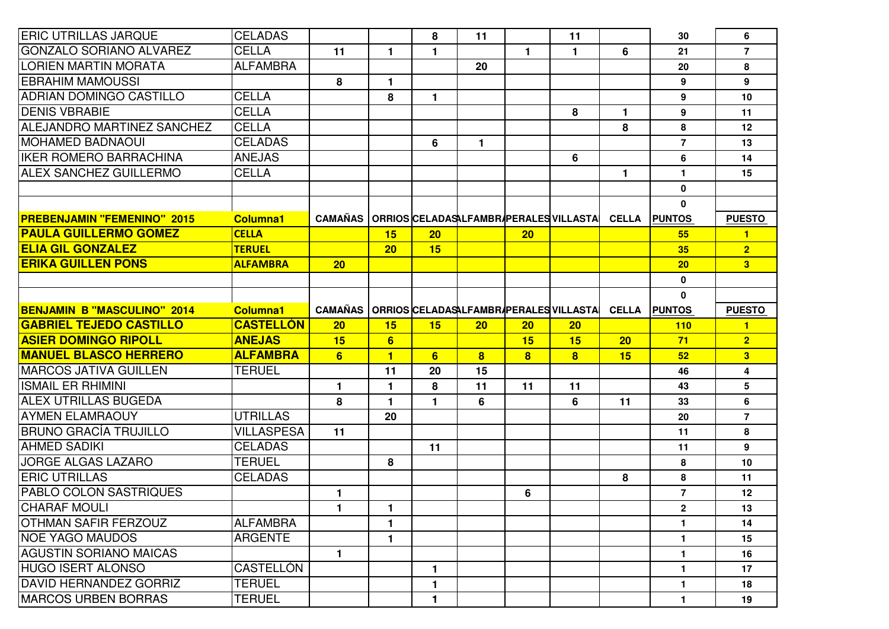| <b>ERIC UTRILLAS JARQUE</b>                                  | <b>CELADAS</b>                 |                                                  |                      | 8               | 11                      |                         | 11                                     |              | 30             | 6                       |
|--------------------------------------------------------------|--------------------------------|--------------------------------------------------|----------------------|-----------------|-------------------------|-------------------------|----------------------------------------|--------------|----------------|-------------------------|
| IGONZALO SORIANO ALVAREZ                                     | <b>CELLA</b>                   | 11                                               | $\mathbf{1}$         | $\mathbf{1}$    |                         | $\mathbf{1}$            | 1                                      | 6            | 21             | $\overline{7}$          |
| <b>LORIEN MARTIN MORATA</b>                                  | <b>ALFAMBRA</b>                |                                                  |                      |                 | 20                      |                         |                                        |              | 20             | 8                       |
| <b>EBRAHIM MAMOUSSI</b>                                      |                                | 8                                                | $\blacksquare$       |                 |                         |                         |                                        |              | 9              | 9                       |
| <b>ADRIAN DOMINGO CASTILLO</b>                               | <b>CELLA</b>                   |                                                  | 8                    | 1.              |                         |                         |                                        |              | 9              | 10                      |
| <b>DENIS VBRABIE</b>                                         | <b>CELLA</b>                   |                                                  |                      |                 |                         |                         | 8                                      | $\mathbf{1}$ | 9              | 11                      |
| <b>ALEJANDRO MARTINEZ SANCHEZ</b>                            | <b>CELLA</b>                   |                                                  |                      |                 |                         |                         |                                        | 8            | $\bf 8$        | 12                      |
| <b>MOHAMED BADNAOUI</b>                                      | <b>CELADAS</b>                 |                                                  |                      | 6               | $\mathbf{1}$            |                         |                                        |              | $\overline{7}$ | 13                      |
| IIKER ROMERO BARRACHINA                                      | <b>ANEJAS</b>                  |                                                  |                      |                 |                         |                         | 6                                      |              | 6              | 14                      |
| <b>ALEX SANCHEZ GUILLERMO</b>                                | <b>CELLA</b>                   |                                                  |                      |                 |                         |                         |                                        | $\mathbf{1}$ | $\mathbf{1}$   | 15                      |
|                                                              |                                |                                                  |                      |                 |                         |                         |                                        |              | $\mathbf 0$    |                         |
|                                                              |                                |                                                  |                      |                 |                         |                         |                                        |              | $\mathbf 0$    |                         |
| <b>PREBENJAMIN "FEMENINO" 2015</b>                           | <b>Columna1</b>                | CAMAÑAS   ORRIOS CELADASALFAMBRAPERALES VILLASTA |                      |                 |                         |                         |                                        | <b>CELLA</b> | <b>PUNTOS</b>  | <b>PUESTO</b>           |
| <b>PAULA GUILLERMO GOMEZ</b>                                 | <b>CELLA</b>                   |                                                  | 15                   | 20 <sub>2</sub> |                         | 20                      |                                        |              | 55             | $\blacksquare$          |
| <b>ELIA GIL GONZALEZ</b>                                     | <b>TERUEL</b>                  |                                                  | 20                   | 15              |                         |                         |                                        |              | 35             | 2 <sup>1</sup>          |
| <b>ERIKA GUILLEN PONS</b>                                    | <b>ALFAMBRA</b>                | 20                                               |                      |                 |                         |                         |                                        |              | 20             | 3 <sup>1</sup>          |
|                                                              |                                |                                                  |                      |                 |                         |                         |                                        |              | $\mathbf 0$    |                         |
|                                                              |                                |                                                  |                      |                 |                         |                         |                                        |              | $\mathbf{0}$   |                         |
| <b>BENJAMIN B "MASCULINO" 2014</b>                           | <b>Columna1</b>                | <b>CAMAÑAS</b>                                   |                      |                 |                         |                         | ORRIOS CELADASALFAMBR/PERALES VILLASTA | <b>CELLA</b> | <b>PUNTOS</b>  | <b>PUESTO</b>           |
| <b>GABRIEL TEJEDO CASTILLO</b>                               | <b>CASTELLÓN</b>               | 20                                               | 15                   | 15              | 20                      | 20                      | 20 <sub>2</sub>                        |              | 110            | $\blacksquare$          |
| <b>ASIER DOMINGO RIPOLL</b>                                  | <b>ANEJAS</b>                  | 15                                               | 6                    |                 |                         | 15                      | 15                                     | 20           | 71             | 2 <sup>1</sup>          |
| <b>MANUEL BLASCO HERRERO</b>                                 | <b>ALFAMBRA</b>                | 6                                                | $\blacksquare$       | 6 <sup>1</sup>  | $\overline{\mathbf{8}}$ | $\overline{\mathbf{8}}$ | $\overline{\mathbf{8}}$                | 15           | 52             | $\overline{\mathbf{3}}$ |
| IMARCOS JATIVA GUILLEN                                       | <b>TERUEL</b>                  |                                                  | 11                   | 20              | 15                      |                         |                                        |              | 46             | 4                       |
| <b>ISMAIL ER RHIMINI</b>                                     |                                | $\mathbf{1}$                                     | $\mathbf{1}$         | 8               | 11                      | 11                      | 11                                     |              | 43             | 5                       |
| <b>ALEX UTRILLAS BUGEDA</b>                                  |                                | 8                                                | $\blacktriangleleft$ | 1.              | 6                       |                         | 6                                      | 11           | 33             | 6                       |
| <b>AYMEN ELAMRAOUY</b>                                       | <b>UTRILLAS</b>                |                                                  | 20                   |                 |                         |                         |                                        |              | 20             | $\overline{7}$          |
| IBRUNO GRACÍA TRUJILLO                                       | <b>VILLASPESA</b>              | 11                                               |                      |                 |                         |                         |                                        |              | 11             | 8                       |
| <b>AHMED SADIKI</b>                                          | <b>CELADAS</b>                 |                                                  |                      | 11              |                         |                         |                                        |              | 11             | 9                       |
| <b>JORGE ALGAS LAZARO</b>                                    | <b>TERUEL</b>                  |                                                  | 8                    |                 |                         |                         |                                        |              | 8              | 10                      |
| <b>ERIC UTRILLAS</b>                                         | <b>CELADAS</b>                 |                                                  |                      |                 |                         |                         |                                        | 8            | 8              | 11                      |
| <b>PABLO COLON SASTRIQUES</b>                                |                                |                                                  |                      |                 |                         |                         |                                        |              |                |                         |
|                                                              |                                | $\mathbf{1}$                                     |                      |                 |                         | 6                       |                                        |              | $\overline{7}$ | 12                      |
| <b>CHARAF MOULI</b>                                          |                                | 1                                                | $\mathbf 1$          |                 |                         |                         |                                        |              | $\mathbf{2}$   | 13                      |
| <b>IOTHMAN SAFIR FERZOUZ</b>                                 | <b>ALFAMBRA</b>                |                                                  | $\mathbf{1}$         |                 |                         |                         |                                        |              | 1              | 14                      |
| <b>INOE YAGO MAUDOS</b>                                      | <b>ARGENTE</b>                 |                                                  | $\mathbf{1}$         |                 |                         |                         |                                        |              | 1              | 15                      |
| AGUSTIN SORIANO MAICAS                                       |                                | 1.                                               |                      |                 |                         |                         |                                        |              | $\mathbf{1}$   | 16                      |
| HUGO ISERT ALONSO                                            | <b>CASTELLÓN</b>               |                                                  |                      | $\mathbf{1}$    |                         |                         |                                        |              | $\mathbf{1}$   | 17                      |
| <b>DAVID HERNANDEZ GORRIZ</b><br><b>IMARCOS URBEN BORRAS</b> | <b>TERUEL</b><br><b>TERUEL</b> |                                                  |                      | 1               |                         |                         |                                        |              | $\mathbf{1}$   | 18<br>19                |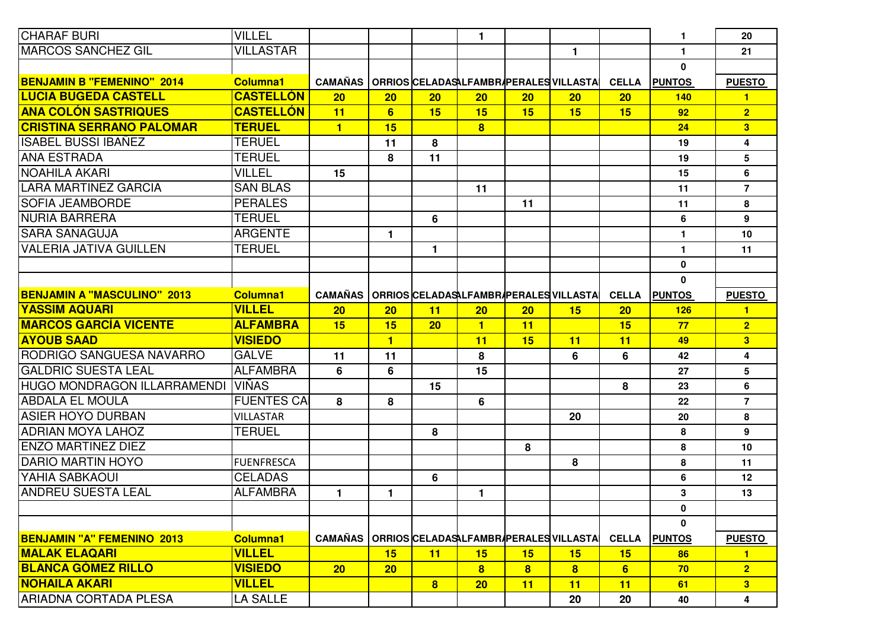| <b>CHARAF BURI</b>                             | <b>VILLEL</b>             |                         |                |                         | $\mathbf{1}$   |                |                                        |              | $\mathbf{1}$  | 20                      |
|------------------------------------------------|---------------------------|-------------------------|----------------|-------------------------|----------------|----------------|----------------------------------------|--------------|---------------|-------------------------|
| <b>MARCOS SANCHEZ GIL</b>                      | <b>VILLASTAR</b>          |                         |                |                         |                |                | $\mathbf{1}$                           |              | $\mathbf{1}$  | 21                      |
|                                                |                           |                         |                |                         |                |                |                                        |              | $\mathbf{0}$  |                         |
| <b>BENJAMIN B "FEMENINO" 2014</b>              | <b>Columna1</b>           | <b>CAMAÑAS</b>          |                |                         |                |                | ORRIOS CELADASALFAMBR/PERALES VILLASTA | <b>CELLA</b> | <b>PUNTOS</b> | <b>PUESTO</b>           |
| <b>LUCIA BUGEDA CASTELL</b>                    | <b>CASTELLÓN</b>          | 20                      | 20             | 20 <sub>2</sub>         | 20             | <b>20</b>      | 20 <sub>2</sub>                        | 20           | <b>140</b>    | $\blacksquare$          |
| <b>ANA COLÓN SASTRIQUES</b>                    | <b>CASTELLÓN</b>          | 11                      | 6              | 15                      | 15             | 15             | 15                                     | 15           | 92            | 2 <sup>1</sup>          |
| <b>CRISTINA SERRANO PALOMAR</b>                | <b>TERUEL</b>             | $\overline{\mathbf{1}}$ | 15             |                         | 8              |                |                                        |              | 24            | 3 <sup>1</sup>          |
| <b>ISABEL BUSSI IBANEZ</b>                     | <b>TERUEL</b>             |                         | 11             | 8                       |                |                |                                        |              | 19            | $\boldsymbol{4}$        |
| <b>ANA ESTRADA</b>                             | <b>TERUEL</b>             |                         | 8              | 11                      |                |                |                                        |              | 19            | 5                       |
| NOAHILA AKARI                                  | <b>VILLEL</b>             | 15                      |                |                         |                |                |                                        |              | 15            | 6                       |
| <b>LARA MARTINEZ GARCIA</b>                    | <b>SAN BLAS</b>           |                         |                |                         | 11             |                |                                        |              | 11            | $\overline{7}$          |
| <b>SOFIA JEAMBORDE</b>                         | <b>PERALES</b>            |                         |                |                         |                | 11             |                                        |              | 11            | 8                       |
| NURIA BARRERA                                  | <b>TERUEL</b>             |                         |                | 6                       |                |                |                                        |              | 6             | 9                       |
| <b>SARA SANAGUJA</b>                           | <b>ARGENTE</b>            |                         | 1.             |                         |                |                |                                        |              | $\mathbf{1}$  | 10                      |
| <b>VALERIA JATIVA GUILLEN</b>                  | <b>TERUEL</b>             |                         |                | 1.                      |                |                |                                        |              | $\mathbf{1}$  | 11                      |
|                                                |                           |                         |                |                         |                |                |                                        |              | $\mathbf 0$   |                         |
|                                                |                           |                         |                |                         |                |                |                                        |              | $\mathbf 0$   |                         |
| <b>BENJAMIN A "MASCULINO" 2013</b>             | <b>Columna1</b>           | <b>CAMAÑAS</b>          |                |                         |                |                | ORRIOS CELADASALFAMBRAPERALES VILLASTA | <b>CELLA</b> | <b>PUNTOS</b> | <b>PUESTO</b>           |
| <b>YASSIM AQUARI</b>                           | <b>VILLEL</b>             | 20 <sub>2</sub>         | 20             | 11                      | 20             | 20             | 15                                     | 20           | <b>126</b>    | $\blacksquare$          |
| <b>MARCOS GARCÍA VICENTE</b>                   | <b>ALFAMBRA</b>           | 15                      | 15             | 20 <sub>2</sub>         | $\blacksquare$ | 11             |                                        | 15           | 77            | 2 <sup>1</sup>          |
| <b>AYOUB SAAD</b>                              | <b>VISIEDO</b>            |                         | $\blacksquare$ |                         | 11             | 15             | 11                                     | 11           | 49            | 3 <sup>1</sup>          |
| <b>RODRIGO SANGUESA NAVARRO</b>                | <b>GALVE</b>              | 11                      | 11             |                         | 8              |                | 6                                      | 6            | 42            | $\overline{\mathbf{4}}$ |
| <b>GALDRIC SUESTA LEAL</b>                     | <b>ALFAMBRA</b>           | 6                       | 6              |                         | 15             |                |                                        |              | 27            | 5                       |
| HUGO MONDRAGON ILLARRAMENDI                    | <b>VIÑAS</b>              |                         |                | 15                      |                |                |                                        | 8            | 23            | 6                       |
| <b>ABDALA EL MOULA</b>                         | <b>FUENTES CAI</b>        | 8                       | 8              |                         | 6              |                |                                        |              | 22            | $\overline{7}$          |
| <b>ASIER HOYO DURBAN</b>                       | <b>VILLASTAR</b>          |                         |                |                         |                |                | 20                                     |              | 20            | 8                       |
| <b>ADRIAN MOYA LAHOZ</b>                       | <b>TERUEL</b>             |                         |                | 8                       |                |                |                                        |              | 8             | 9                       |
| <b>ENZO MARTINEZ DIEZ</b>                      |                           |                         |                |                         |                | 8              |                                        |              | 8             | 10                      |
| <b>DARIO MARTIN HOYO</b>                       | <b>FUENFRESCA</b>         |                         |                |                         |                |                | 8                                      |              | 8             | 11                      |
| YAHIA SABKAOUI                                 | <b>CELADAS</b>            |                         |                | 6                       |                |                |                                        |              | 6             | 12                      |
| <b>ANDREU SUESTA LEAL</b>                      | <b>ALFAMBRA</b>           | $\mathbf{1}$            | $\blacksquare$ |                         | $\mathbf{1}$   |                |                                        |              | 3             | 13                      |
|                                                |                           |                         |                |                         |                |                |                                        |              | 0             |                         |
|                                                |                           |                         |                |                         |                |                |                                        |              | $\mathbf{0}$  |                         |
| <b>BENJAMIN "A" FEMENINO 2013</b>              |                           | <b>CAMAÑAS</b>          |                |                         |                |                | ORRIOS CELADASALFAMBR/PERALES VILLASTA | <b>CELLA</b> | <b>PUNTOS</b> | <b>PUESTO</b>           |
|                                                | <b>Columna1</b>           |                         |                |                         |                |                |                                        |              |               |                         |
| <b>MALAK ELAQARI</b>                           | <b>VILLEL</b>             |                         | 15             | 11                      | 15             | 15             | 15                                     | 15           | 86            | $\mathbf{1}$            |
| <b>BLANCA GÓMEZ RILLO</b>                      | <b>VISIEDO</b>            | 20 <sub>2</sub>         | 20             |                         | 8              | 8 <sup>1</sup> | 8 <sup>1</sup>                         | 6            | 70            | 2 <sup>1</sup>          |
| <b>NOHAILA AKARI</b><br>IARIADNA CORTADA PLESA | <b>VILLEL</b><br>LA SALLE |                         |                | $\overline{\mathbf{8}}$ | 20             | 11             | 11<br>20                               | 11<br>20     | 61<br>40      | 3 <sup>1</sup><br>4     |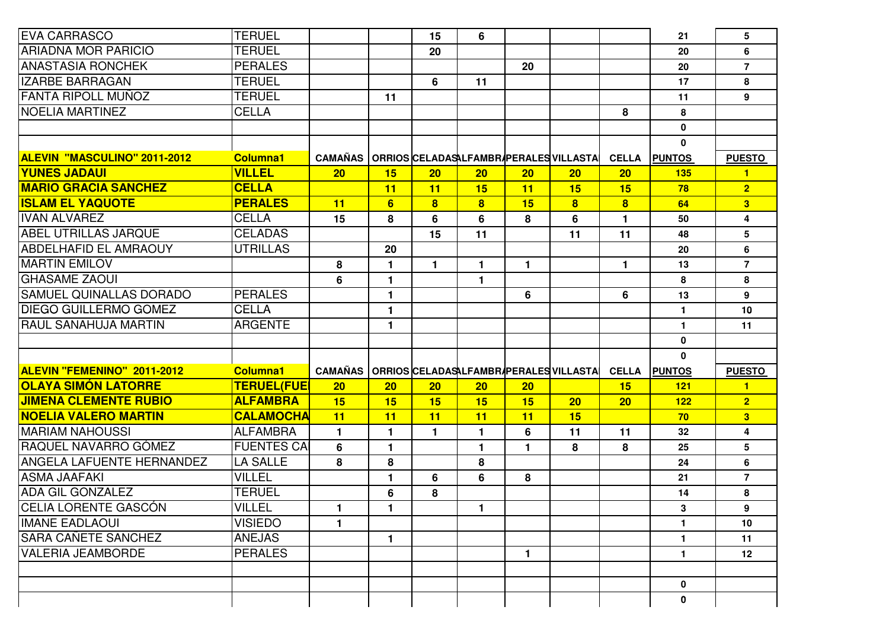| <b>EVA CARRASCO</b>                 | <b>TERUEL</b>      |                                                  |              | 15                      | 6                       |              |                                        |                         | 21            | 5                       |
|-------------------------------------|--------------------|--------------------------------------------------|--------------|-------------------------|-------------------------|--------------|----------------------------------------|-------------------------|---------------|-------------------------|
| <b>ARIADNA MOR PARICIO</b>          | <b>TERUEL</b>      |                                                  |              | 20                      |                         |              |                                        |                         | 20            | 6                       |
| <b>ANASTASIA RONCHEK</b>            | <b>PERALES</b>     |                                                  |              |                         |                         | 20           |                                        |                         | 20            | $\overline{7}$          |
| <b>IZARBE BARRAGAN</b>              | <b>TERUEL</b>      |                                                  |              | 6                       | 11                      |              |                                        |                         | 17            | 8                       |
| <b>FANTA RIPOLL MUÑOZ</b>           | <b>TERUEL</b>      |                                                  | 11           |                         |                         |              |                                        |                         | 11            | 9                       |
| <b>NOELIA MARTINEZ</b>              | <b>CELLA</b>       |                                                  |              |                         |                         |              |                                        | 8                       | 8             |                         |
|                                     |                    |                                                  |              |                         |                         |              |                                        |                         | $\pmb{0}$     |                         |
|                                     |                    |                                                  |              |                         |                         |              |                                        |                         | $\mathbf{0}$  |                         |
| <b>ALEVIN "MASCULINO" 2011-2012</b> | <b>Columna1</b>    | <b>CAMAÑAS</b>                                   |              |                         |                         |              | ORRIOS CELADASALFAMBRAPERALES VILLASTA | <b>CELLA</b>            | <b>PUNTOS</b> | <b>PUESTO</b>           |
| <b>YUNES JADAUI</b>                 | <b>VILLEL</b>      | 20                                               | 15           | 20                      | 20 <sub>2</sub>         | 20           | 20                                     | 20                      | 135           | 1                       |
| <b>MARIO GRACIA SANCHEZ</b>         | <b>CELLA</b>       |                                                  | 11           | 11                      | 15                      | 11           | 15                                     | 15                      | 78            | $\overline{2}$          |
| <b>ISLAM EL YAQUOTE</b>             | <b>PERALES</b>     | 11                                               | 6            | $\overline{\mathbf{8}}$ | $\overline{\mathbf{8}}$ | 15           | $\overline{\mathbf{8}}$                | $\overline{\mathbf{8}}$ | 64            | $\overline{\mathbf{3}}$ |
| <b>IVAN ALVAREZ</b>                 | <b>CELLA</b>       | 15                                               | 8            | 6                       | 6                       | 8            | 6                                      | 1                       | 50            | 4                       |
| <b>ABEL UTRILLAS JARQUE</b>         | <b>CELADAS</b>     |                                                  |              | 15                      | 11                      |              | 11                                     | 11                      | 48            | 5                       |
| <b>ABDELHAFID EL AMRAOUY</b>        | <b>UTRILLAS</b>    |                                                  | 20           |                         |                         |              |                                        |                         | 20            | 6                       |
| <b>MARTIN EMILOV</b>                |                    | 8                                                | $\mathbf{1}$ | $\mathbf{1}$            | 1                       | 1.           |                                        | 1                       | 13            | $\overline{7}$          |
| <b>IGHASAME ZAOUI</b>               |                    | 6                                                | 1            |                         | 1                       |              |                                        |                         | 8             | 8                       |
| <b>ISAMUEL QUINALLAS DORADO</b>     | <b>PERALES</b>     |                                                  | $\mathbf{1}$ |                         |                         | 6            |                                        | 6                       | 13            | 9                       |
| <b>IDIEGO GUILLERMO GOMEZ</b>       | <b>CELLA</b>       |                                                  | $\mathbf{1}$ |                         |                         |              |                                        |                         | $\mathbf{1}$  | 10                      |
| <b>RAUL SANAHUJA MARTIN</b>         | <b>ARGENTE</b>     |                                                  | 1            |                         |                         |              |                                        |                         | $\mathbf{1}$  | 11                      |
|                                     |                    |                                                  |              |                         |                         |              |                                        |                         | $\mathbf 0$   |                         |
|                                     |                    |                                                  |              |                         |                         |              |                                        |                         | 0             |                         |
| <b>ALEVIN "FEMENINO" 2011-2012</b>  | <b>Columna1</b>    | CAMAÑAS   ORRIOS CELADAS LFAMBR PERALES VILLASTA |              |                         |                         |              |                                        | <b>CELLA</b>            | <b>PUNTOS</b> | <b>PUESTO</b>           |
| OLAYA SIMÓN LATORRE                 | <b>TERUEL(FUEI</b> | 20                                               | 20           | 20                      | 20                      | 20           |                                        | 15                      | 121           | $\mathbf{1}$            |
| <b>JIMENA CLEMENTE RUBIO</b>        | <b>ALFAMBRA</b>    | 15                                               | 15           | 15                      | 15                      | 15           | 20                                     | 20                      | 122           | 2 <sup>1</sup>          |
| <b>INOELIA VALERO MARTIN</b>        | <b>CALAMOCHA</b>   | 11                                               | 11           | 11                      | 11                      | 11           | 15                                     |                         | 70            | 3                       |
| <b>MARIAM NAHOUSSI</b>              | <b>ALFAMBRA</b>    | $\mathbf{1}$                                     | 1            | 1                       | 1                       | 6            | 11                                     | 11                      | 32            | 4                       |
| RAQUEL NAVARRO GÓMEZ                | <b>FUENTES CAI</b> | 6                                                | $\mathbf{1}$ |                         | $\mathbf{1}$            | $\mathbf{1}$ | 8                                      | 8                       | 25            | 5                       |
| <b>ANGELA LAFUENTE HERNANDEZ</b>    | <b>LA SALLE</b>    | 8                                                | 8            |                         | 8                       |              |                                        |                         | 24            | 6                       |
| <b>ASMA JAAFAKI</b>                 | <b>VILLEL</b>      |                                                  | $\mathbf{1}$ | 6                       | 6                       | 8            |                                        |                         | 21            | $\overline{7}$          |
| <b>ADA GIL GONZALEZ</b>             | <b>TERUEL</b>      |                                                  | 6            | 8                       |                         |              |                                        |                         | 14            | 8                       |
| <b>CELIA LORENTE GASCÓN</b>         | <b>VILLEL</b>      | $\mathbf{1}$                                     | $\mathbf{1}$ |                         | 1                       |              |                                        |                         | 3             | 9                       |
| <b>IMANE EADLAOUI</b>               | <b>VISIEDO</b>     | $\mathbf{1}$                                     |              |                         |                         |              |                                        |                         | $\mathbf{1}$  | 10                      |
| <b>SARA CAÑETE SANCHEZ</b>          | <b>ANEJAS</b>      |                                                  | $\mathbf{1}$ |                         |                         |              |                                        |                         | $\mathbf{1}$  | 11                      |
| <b>VALERIA JEAMBORDE</b>            | <b>PERALES</b>     |                                                  |              |                         |                         | 1            |                                        |                         | $\mathbf{1}$  | 12                      |
|                                     |                    |                                                  |              |                         |                         |              |                                        |                         |               |                         |
|                                     |                    |                                                  |              |                         |                         |              |                                        |                         | $\mathbf 0$   |                         |
|                                     |                    |                                                  |              |                         |                         |              |                                        |                         | $\mathbf 0$   |                         |